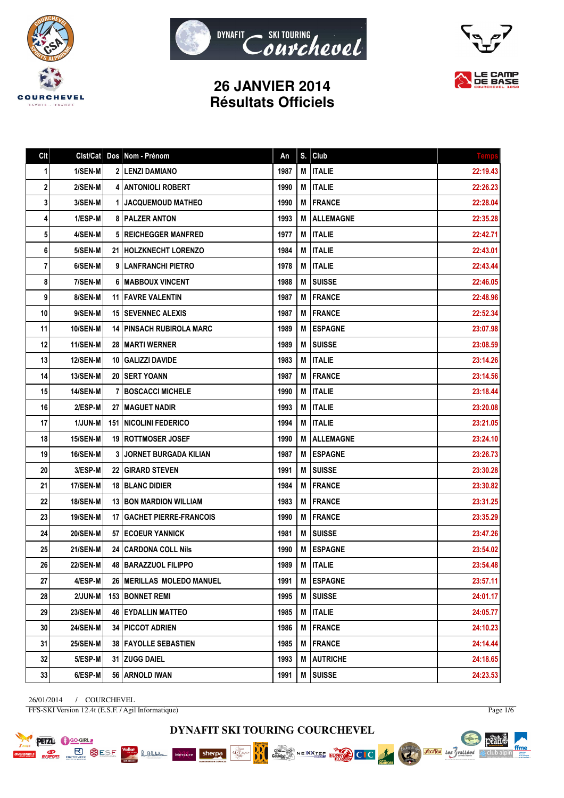





# **26 JANVIER 2014 Résultats Officiels**

| C <sub>It</sub> | Clst/Cat        | Dos   Nom - Prénom              | An   | S. | Club             | <b>Temps</b> |
|-----------------|-----------------|---------------------------------|------|----|------------------|--------------|
| 1               | 1/SEN-M         | 2   LENZI DAMIANO               | 1987 | М  | <b>ITALIE</b>    | 22:19.43     |
| 2               | 2/SEN-M         | <b>4   ANTONIOLI ROBERT</b>     | 1990 | M  | <b>ITALIE</b>    | 22:26.23     |
| 3               | 3/SEN-M         | <b>1 I JACQUEMOUD MATHEO</b>    | 1990 | M  | <b>FRANCE</b>    | 22:28.04     |
| 4               | 1/ESP-M         | <b>8 I PALZER ANTON</b>         | 1993 | M  | <b>ALLEMAGNE</b> | 22:35.28     |
| 5               | 4/SEN-M         | <b>5   REICHEGGER MANFRED</b>   | 1977 | М  | <b>ITALIE</b>    | 22:42.71     |
| 6               | 5/SEN-M         | 21   HOLZKNECHT LORENZO         | 1984 | М  | <b>ITALIE</b>    | 22:43.01     |
| 7               | 6/SEN-M         | 9   LANFRANCHI PIETRO           | 1978 | M  | ITALIE           | 22:43.44     |
| 8               | 7/SEN-M         | <b>6   MABBOUX VINCENT</b>      | 1988 | М  | <b>SUISSE</b>    | 22:46.05     |
| 9               | 8/SEN-M         | <b>11   FAVRE VALENTIN</b>      | 1987 | M  | FRANCE           | 22:48.96     |
| 10              | 9/SEN-M         | <b>15   SEVENNEC ALEXIS</b>     | 1987 | М  | <b>FRANCE</b>    | 22:52.34     |
| 11              | <b>10/SEN-M</b> | <b>14 PINSACH RUBIROLA MARC</b> | 1989 | M  | <b>ESPAGNE</b>   | 23:07.98     |
| 12              | 11/SEN-M        | 28   MARTI WERNER               | 1989 | M  | <b>SUISSE</b>    | 23:08.59     |
| 13              | <b>12/SEN-M</b> | 10   GALIZZI DAVIDE             | 1983 | M  | ITALIE           | 23:14.26     |
| 14              | <b>13/SEN-M</b> | <b>20   SERT YOANN</b>          | 1987 | М  | <b>FRANCE</b>    | 23:14.56     |
| 15              | <b>14/SEN-M</b> | <b>7 BOSCACCI MICHELE</b>       | 1990 | M  | <b>ITALIE</b>    | 23:18.44     |
| 16              | 2/ESP-M         | 27   MAGUET NADIR               | 1993 | М  | <b>ITALIE</b>    | 23:20.08     |
| 17              | 1/JUN-M         | <b>151 INICOLINI FEDERICO</b>   | 1994 | M  | IITALIE          | 23:21.05     |
| 18              | 15/SEN-M        | <b>19   ROTTMOSER JOSEF</b>     | 1990 | М  | <b>ALLEMAGNE</b> | 23:24.10     |
| 19              | <b>16/SEN-M</b> | <b>3 JORNET BURGADA KILIAN</b>  | 1987 | M  | <b>ESPAGNE</b>   | 23:26.73     |
| 20              | 3/ESP-M         | <b>22   GIRARD STEVEN</b>       | 1991 | M  | <b>I SUISSE</b>  | 23:30.28     |
| 21              | 17/SEN-M        | 18 BLANC DIDIER                 | 1984 | M  | <b>FRANCE</b>    | 23:30.82     |
| 22              | <b>18/SEN-M</b> | <b>13 BON MARDION WILLIAM</b>   | 1983 | M  | <b> FRANCE</b>   | 23:31.25     |
| 23              | <b>19/SEN-M</b> | 17 GACHET PIERRE-FRANCOIS       | 1990 | M  | <b>FRANCE</b>    | 23:35.29     |
| 24              | <b>20/SEN-M</b> | <b>57 I ECOEUR YANNICK</b>      | 1981 | M  | <b>SUISSE</b>    | 23:47.26     |
| 25              | <b>21/SEN-M</b> | 24   CARDONA COLL Nils          | 1990 | M  | <b>ESPAGNE</b>   | 23:54.02     |
| 26              | <b>22/SEN-M</b> | 48   BARAZZUOL FILIPPO          | 1989 | M  | <b>ITALIE</b>    | 23:54.48     |
| 27              | 4/ESP-M         | 26   MERILLAS MOLEDO MANUEL     | 1991 | M  | <b>ESPAGNE</b>   | 23:57.11     |
| 28              | 2/JUN-M         | 153 BONNET REMI                 | 1995 | М  | <b>SUISSE</b>    | 24:01.17     |
| 29              | 23/SEN-M        | <b>46 EYDALLIN MATTEO</b>       | 1985 | M  | <b>ITALIE</b>    | 24:05.77     |
| 30              | <b>24/SEN-M</b> | 34   PICCOT ADRIEN              | 1986 | M  | <b>FRANCE</b>    | 24:10.23     |
| 31              | <b>25/SEN-M</b> | <b>38 FAYOLLE SEBASTIEN</b>     | 1985 | M  | <b>FRANCE</b>    | 24:14.44     |
| 32              | 5/ESP-M         | 31 ZUGG DAIEL                   | 1993 | M  | <b>AUTRICHE</b>  | 24:18.65     |
| 33              | 6/ESP-M         | 56   ARNOLD IWAN                | 1991 | M  | <b>SUISSE</b>    | 24:23.53     |

26/01/2014 / COURCHEVEL FFS-SKI Version 12.4t (E.S.F. / Agil Informatique)

Lamen

Mercure sherpa

**PETZL C** GO-GIRL

**POSTER BUSE SESF** 

Page 1/6

pearts.

itra club alpin∆

ffme

Voules des Svallées



Chez...<br>Gaulois

NEXXTEE EUROPE CIC

**BBC** 

**ARE**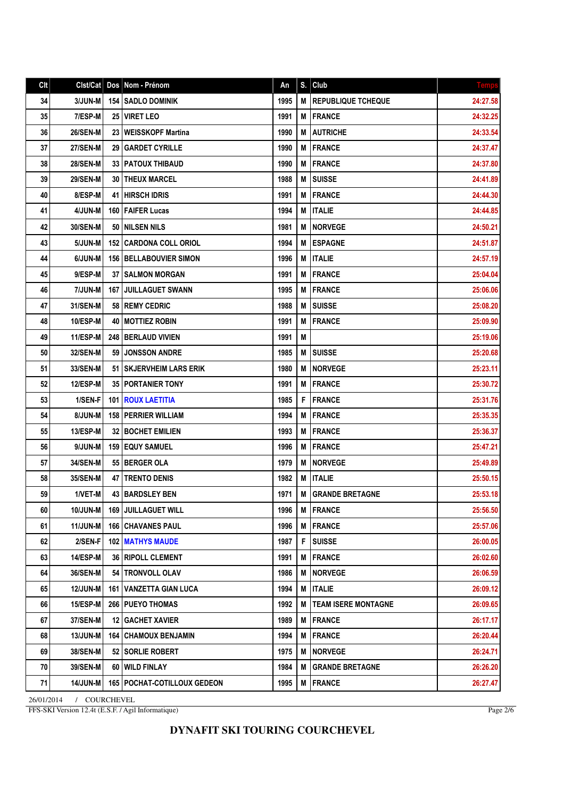## Clt Clst/Cat Dos Nom - Prénom An S. Club 34 3/JUN-M 154 SADLO DOMINIK 1995 M REPUBLIQUE TCHEQUE 24:27.58 35 7/ESP-M 25 VIRET LEO 1991 M FRANCE 24:32.25 36 26/SEN-M 23 WEISSKOPF Martina 1990 M AUTRICHE 24:33.54 37 27/SEN-M 29 GARDET CYRILLE 1990 M FRANCE 24:37.47 38 28/SEN-M 33 PATOUX THIBAUD 1990 M FRANCE 24:37.80 39 29/SEN-M 30 THEUX MARCEL 1988 M SUISSE 24:41.89 40 | 8/ESP-M | 41 |HIRSCH IDRIS | 1991 | 1991 | M | FRANCE | 1997 | 24:44.30 41 4/JUN-M 160 FAIFER Lucas 1994 M ITALIE 24:44.85 42 | 30/SEN-M | 50 |NILSEN NILS | 1981 | 1981 | M | NORVEGE | 1981 | 24:50.21 43 5/JUN-M 152 CARDONA COLL ORIOL 1994 M ESPAGNE 1994 M HOTEL 24:51.87 44 6/JUN-M 156 BELLABOUVIER SIMON 1996 M ITALIE 24:57.19 45 9/ESP-M 37 SALMON MORGAN 1991 M FRANCE 9/ESP-M 25:04.04 46 7/JUN-M 167 JUILLAGUET SWANN 1995 M FRANCE 25:06.06 47 31/SEN-M 58 REMY CEDRIC 1988 M SUISSE 25:08.20 48 10/ESP-M 40 MOTTIEZ ROBIN 1991 M FRANCE 25:09.90 49 | 11/ESP-M | 248 |BERLAUD VIVIEN | 2000 | 1991 | M | 25:19.06 | 25:19.06 50 32/SEN-M 59 JONSSON ANDRE 1985 M SUISSE 25:20.68 51 33/SEN-M 51 SKJERVHEIM LARS ERIK 1980 M NORVEGE 25:23.11 52 12/ESP-M 35 PORTANIER TONY 1991 | M | FRANCE | 25:30.72 53 1/SEN-F 101 ROUX LAETITIA 1985 F FRANCE 1985 F FRANCE 54 8/JUN-M 158 PERRIER WILLIAM 1994 M FRANCE 25:35.35 55 13/ESP-M 32 BOCHET EMILIEN 1993 M FRANCE 25:36.37 56 9/JUN-M 159 EQUY SAMUEL 1996 M FRANCE 25:47.21 57 34/SEN-M 55 BERGER OLA 1979 M NORVEGE 25:49.89 25:49.89 58 35/SEN-M 47 TRENTO DENIS 1982 M ITALIE 25:50.15 59 1/VET-M 43 BARDSLEY BEN 1971 M GRANDE BRETAGNE 25:53.18 60 | 10/JUN-M | 169 | JUILLAGUET WILL | 1996 | M | FRANCE | 1996 | M | PRANCE | 25:56.50 61 | 11/JUN-M | 166 | CHAVANES PAUL | 1996 | M | 1996 | M | FRANCE | 25:57.06 62 2/SEN-F 102 MATHYS MAUDE 1987 F SUISSE 26:00.05 63 | 14/ESP-M | 36 RIPOLL CLEMENT | 1991 | M | FRANCE | 1992.602.60 64 36/SEN-M 54 TRONVOLL OLAV 1986 M NORVEGE 26:06.59 65 12/JUN-M 161 VANZETTA GIAN LUCA 1994 M ITALIE 26:09.12 66 15/ESP-M 266 PUEYO THOMAS 1992 M TEAM ISERE MONTAGNE 26:09.65 67 37/SEN-M 12 GACHET XAVIER 1989 M FRANCE 26:17.17 68 13/JUN-M 164 CHAMOUX BENJAMIN 1994 M FRANCE 26:20.44 69 38/SEN-M 52 SORLIE ROBERT 1975 M NORVEGE 26:24.71 70 39/SEN-M 60 WILD FINLAY 1984 M GRANDE BRETAGNE 26:26.20 71 14/JUN-M 165 POCHAT-COTILLOUX GEDEON 1995 M FRANCE 26:27.47

26/01/2014 / COURCHEVEL FFS-SKI Version 12.4t (E.S.F. / Agil Informatique)

Page 2/6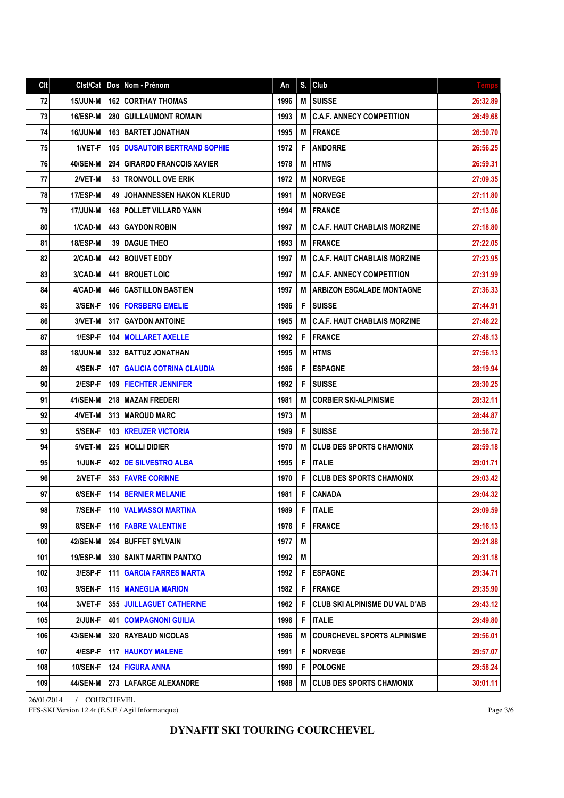| Clt |                 |     | Clst/Cat   Dos   Nom - Prénom        | An   | S. | <b>Club</b>                           | <b>Temps</b> |
|-----|-----------------|-----|--------------------------------------|------|----|---------------------------------------|--------------|
| 72  | <b>15/JUN-M</b> |     | <b>162 CORTHAY THOMAS</b>            | 1996 | M  | <b>SUISSE</b>                         | 26:32.89     |
| 73  | <b>16/ESP-M</b> |     | <b>280 GUILLAUMONT ROMAIN</b>        | 1993 | M  | <b>C.A.F. ANNECY COMPETITION</b>      | 26:49.68     |
| 74  | <b>16/JUN-M</b> |     | <b>163   BARTET JONATHAN</b>         | 1995 | M  | <b>FRANCE</b>                         | 26:50.70     |
| 75  | 1/VET-F         |     | <b>105 DUSAUTOIR BERTRAND SOPHIE</b> | 1972 | F  | <b>ANDORRE</b>                        | 26:56.25     |
| 76  | <b>40/SEN-M</b> |     | 294   GIRARDO FRANCOIS XAVIER        | 1978 | M  | <b>HTMS</b>                           | 26:59.31     |
| 77  | 2/VET-M         |     | 53   TRONVOLL OVE ERIK               | 1972 | M  | <b>NORVEGE</b>                        | 27:09.35     |
| 78  | 17/ESP-M        | 49  | <b>JOHANNESSEN HAKON KLERUD</b>      | 1991 | M  | <b>NORVEGE</b>                        | 27:11.80     |
| 79  | <b>17/JUN-M</b> |     | <b>168   POLLET VILLARD YANN</b>     | 1994 | M  | <b>FRANCE</b>                         | 27:13.06     |
| 80  | 1/CAD-M         | 443 | <b>GAYDON ROBIN</b>                  | 1997 | M  | <b>C.A.F. HAUT CHABLAIS MORZINE</b>   | 27:18.80     |
| 81  | 18/ESP-M        |     | <b>39 I DAGUE THEO</b>               | 1993 | M  | <b>FRANCE</b>                         | 27:22.05     |
| 82  | 2/CAD-M         |     | <b>442 I BOUVET EDDY</b>             | 1997 | M  | <b>C.A.F. HAUT CHABLAIS MORZINE</b>   | 27:23.95     |
| 83  | 3/CAD-M         | 441 | <b>BROUET LOIC</b>                   | 1997 | M  | <b>C.A.F. ANNECY COMPETITION</b>      | 27:31.99     |
| 84  | 4/CAD-M         | 446 | <b>CASTILLON BASTIEN</b>             | 1997 | M  | <b>ARBIZON ESCALADE MONTAGNE</b>      | 27:36.33     |
| 85  | 3/SEN-F         |     | 106   FORSBERG EMELIE                | 1986 | F  | <b>SUISSE</b>                         | 27:44.91     |
| 86  | 3/VET-M         |     | <b>317 GAYDON ANTOINE</b>            | 1965 | M  | <b>C.A.F. HAUT CHABLAIS MORZINE</b>   | 27:46.22     |
| 87  | 1/ESP-F         |     | <b>104   MOLLARET AXELLE</b>         | 1992 | F  | <b>FRANCE</b>                         | 27:48.13     |
| 88  | <b>18/JUN-M</b> |     | 332 BATTUZ JONATHAN                  | 1995 | M  | <b>HTMS</b>                           | 27:56.13     |
| 89  | 4/SEN-F         |     | <b>107 GALICIA COTRINA CLAUDIA</b>   | 1986 | F  | <b>ESPAGNE</b>                        | 28:19.94     |
| 90  | 2/ESP-F         |     | <b>109   FIECHTER JENNIFER</b>       | 1992 | F  | <b>SUISSE</b>                         | 28:30.25     |
| 91  | 41/SEN-M        |     | 218   MAZAN FREDERI                  | 1981 | M  | <b>CORBIER SKI-ALPINISME</b>          | 28:32.11     |
| 92  | 4/VET-M         |     | 313   MAROUD MARC                    | 1973 | M  |                                       | 28:44.87     |
| 93  | 5/SEN-F         |     | <b>103   KREUZER VICTORIA</b>        | 1989 | F  | <b>SUISSE</b>                         | 28:56.72     |
| 94  | 5/VET-M         |     | 225   MOLLI DIDIER                   | 1970 | M  | <b>CLUB DES SPORTS CHAMONIX</b>       | 28:59.18     |
| 95  | 1/JUN-F         |     | 402   DE SILVESTRO ALBA              | 1995 | F  | <b>ITALIE</b>                         | 29:01.71     |
| 96  | 2/VET-F         |     | 353 FAVRE CORINNE                    | 1970 | F  | <b>CLUB DES SPORTS CHAMONIX</b>       | 29:03.42     |
| 97  | 6/SEN-F         |     | <b>114 BERNIER MELANIE</b>           | 1981 | F  | <b>CANADA</b>                         | 29:04.32     |
| 98  | 7/SEN-F         |     | <b>110   VALMASSOI MARTINA</b>       | 1989 | F  | <b>ITALIE</b>                         | 29:09.59     |
| 99  | 8/SEN-F         |     | 116   FABRE VALENTINE                | 1976 | F  | <b>FRANCE</b>                         | 29:16.13     |
| 100 | 42/SEN-M        |     | 264 BUFFET SYLVAIN                   | 1977 | M  |                                       | 29:21.88     |
| 101 | 19/ESP-M        |     | <b>330 I SAINT MARTIN PANTXO</b>     | 1992 | M  |                                       | 29:31.18     |
| 102 | 3/ESP-F         | 111 | <b>GARCIA FARRES MARTA</b>           | 1992 | F  | <b>ESPAGNE</b>                        | 29:34.71     |
| 103 | 9/SEN-F         |     | <b>115   MANEGLIA MARION</b>         | 1982 | F  | <b>FRANCE</b>                         | 29:35.90     |
| 104 | 3/VET-F         |     | 355 JUILLAGUET CATHERINE             | 1962 | F  | <b>CLUB SKI ALPINISME DU VAL D'AB</b> | 29:43.12     |
| 105 | 2/JUN-F         |     | <b>401   COMPAGNONI GUILIA</b>       | 1996 | F  | <b>ITALIE</b>                         | 29:49.80     |
| 106 | 43/SEN-M        |     | 320   RAYBAUD NICOLAS                | 1986 | M  | <b>COURCHEVEL SPORTS ALPINISME</b>    | 29:56.01     |
| 107 | 4/ESP-F         |     | <b>117   HAUKOY MALENE</b>           | 1991 | F  | <b>NORVEGE</b>                        | 29:57.07     |
| 108 | <b>10/SEN-F</b> |     | 124 FIGURA ANNA                      | 1990 | F  | <b>POLOGNE</b>                        | 29:58.24     |
| 109 | 44/SEN-M        |     | 273   LAFARGE ALEXANDRE              | 1988 | M  | <b>CLUB DES SPORTS CHAMONIX</b>       | 30:01.11     |

26/01/2014 / COURCHEVEL FFS-SKI Version 12.4t (E.S.F. / Agil Informatique)

Page 3/6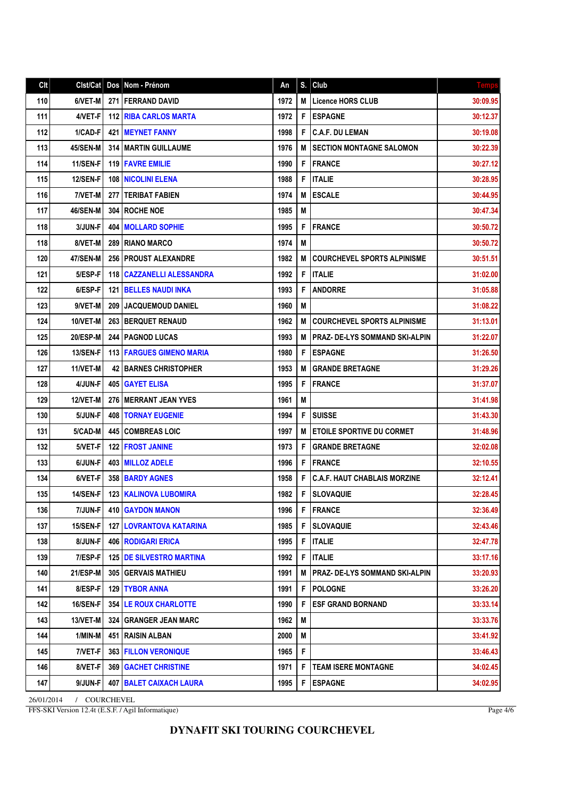| Clt | Clst/Cat        | Dos | Nom - Prénom                      | An   | S.          | Club                                 | <b>Temps</b> |
|-----|-----------------|-----|-----------------------------------|------|-------------|--------------------------------------|--------------|
| 110 | 6/VET-M         |     | 271   FERRAND DAVID               | 1972 | M           | <b>Licence HORS CLUB</b>             | 30:09.95     |
| 111 | 4/VET-F         | 112 | <b>RIBA CARLOS MARTA</b>          | 1972 | F           | <b>ESPAGNE</b>                       | 30:12.37     |
| 112 | 1/CAD-F         | 421 | <b>MEYNET FANNY</b>               | 1998 | F           | <b>C.A.F. DU LEMAN</b>               | 30:19.08     |
| 113 | 45/SEN-M        | 314 | <b>MARTIN GUILLAUME</b>           | 1976 | М           | <b>SECTION MONTAGNE SALOMON</b>      | 30:22.39     |
| 114 | <b>11/SEN-F</b> | 119 | <b>FAVRE EMILIE</b>               | 1990 | F           | <b>IFRANCE</b>                       | 30:27.12     |
| 115 | <b>12/SEN-F</b> | 108 | <b>NICOLINI ELENA</b>             | 1988 | F           | <b>ITALIE</b>                        | 30:28.95     |
| 116 | 7/VET-M         | 277 | <b>TERIBAT FABIEN</b>             | 1974 | M           | <b>ESCALE</b>                        | 30:44.95     |
| 117 | <b>46/SEN-M</b> | 304 | ROCHE NOE                         | 1985 | М           |                                      | 30:47.34     |
| 118 | 3/JUN-F         | 404 | <b>MOLLARD SOPHIE</b>             | 1995 | F           | <b>FRANCE</b>                        | 30:50.72     |
| 118 | 8/VET-M         | 289 | <b>RIANO MARCO</b>                | 1974 | М           |                                      | 30:50.72     |
| 120 | 47/SEN-M        | 256 | <b>PROUST ALEXANDRE</b>           | 1982 | M           | <b>COURCHEVEL SPORTS ALPINISME</b>   | 30:51.51     |
| 121 | 5/ESP-F         | 118 | <b>CAZZANELLI ALESSANDRA</b>      | 1992 | F           | <b>ITALIE</b>                        | 31:02.00     |
| 122 | 6/ESP-F         | 121 | <b>BELLES NAUDI INKA</b>          | 1993 | F           | <b>ANDORRE</b>                       | 31:05.88     |
| 123 | 9/VET-M         | 209 | <b>JACQUEMOUD DANIEL</b>          | 1960 | M           |                                      | 31:08.22     |
| 124 | 10/VET-M        | 263 | <b>BERQUET RENAUD</b>             | 1962 | М           | <b>COURCHEVEL SPORTS ALPINISME</b>   | 31:13.01     |
| 125 | <b>20/ESP-M</b> | 244 | <b>PAGNOD LUCAS</b>               | 1993 | M           | <b>PRAZ-DE-LYS SOMMAND SKI-ALPIN</b> | 31:22.07     |
| 126 | <b>13/SEN-F</b> | 113 | <b>FARGUES GIMENO MARIA</b>       | 1980 | F           | <b>ESPAGNE</b>                       | 31:26.50     |
| 127 | 11/VET-M        |     | <b>42   BARNES CHRISTOPHER</b>    | 1953 | M           | <b>GRANDE BRETAGNE</b>               | 31:29.26     |
| 128 | 4/JUN-F         | 405 | <b>GAYET ELISA</b>                | 1995 | F           | <b>FRANCE</b>                        | 31:37.07     |
| 129 | 12/VET-M        | 276 | <b>MERRANT JEAN YVES</b>          | 1961 | M           |                                      | 31:41.98     |
| 130 | 5/JUN-F         | 408 | <b>TORNAY EUGENIE</b>             | 1994 | F           | <b>SUISSE</b>                        | 31:43.30     |
| 131 | 5/CAD-M         | 445 | <b>COMBREAS LOIC</b>              | 1997 | М           | <b>ETOILE SPORTIVE DU CORMET</b>     | 31:48.96     |
| 132 | 5/VET-F         | 122 | <b>FROST JANINE</b>               | 1973 | F           | <b>GRANDE BRETAGNE</b>               | 32:02.08     |
| 133 | 6/JUN-F         | 403 | <b>MILLOZ ADELE</b>               | 1996 | F           | <b>FRANCE</b>                        | 32:10.55     |
| 134 | 6/VET-F         | 358 | <b>BARDY AGNES</b>                | 1958 | F           | <b>C.A.F. HAUT CHABLAIS MORZINE</b>  | 32:12.41     |
| 135 | <b>14/SEN-F</b> | 123 | <b>KALINOVA LUBOMIRA</b>          | 1982 | F           | <b>SLOVAQUIE</b>                     | 32:28.45     |
| 136 | 7/JUN-F         |     | 410 GAYDON MANON                  | 1996 | F           | FRANCE                               | 32:36.49     |
| 137 | <b>15/SEN-F</b> |     | <b>127   LOVRANTOVA KATARINA</b>  | 1985 | F           | <b>SLOVAQUIE</b>                     | 32:43.46     |
| 138 | 8/JUN-F         |     | <b>406   RODIGARI ERICA</b>       | 1995 | F           | <b>ITALIE</b>                        | 32:47.78     |
| 139 | 7/ESP-F         |     | <b>125   DE SILVESTRO MARTINA</b> | 1992 | F           | <b>ITALIE</b>                        | 33:17.16     |
| 140 | 21/ESP-M        | 305 | <b>GERVAIS MATHIEU</b>            | 1991 | M           | PRAZ- DE-LYS SOMMAND SKI-ALPIN       | 33:20.93     |
| 141 | 8/ESP-F         | 129 | <b>TYBOR ANNA</b>                 | 1991 | F           | <b>POLOGNE</b>                       | 33:26.20     |
| 142 | <b>16/SEN-F</b> | 354 | LE ROUX CHARLOTTE                 | 1990 | F           | <b>ESF GRAND BORNAND</b>             | 33:33.14     |
| 143 | 13/VET-M        | 324 | <b>GRANGER JEAN MARC</b>          | 1962 | M           |                                      | 33:33.76     |
| 144 | 1/MIN-M         | 451 | <b>RAISIN ALBAN</b>               | 2000 | M           |                                      | 33:41.92     |
| 145 | 7/VET-F         | 363 | <b>FILLON VERONIQUE</b>           | 1965 | $\mathsf F$ |                                      | 33:46.43     |
| 146 | 8/VET-F         | 369 | <b>GACHET CHRISTINE</b>           | 1971 | F           | <b>TEAM ISERE MONTAGNE</b>           | 34:02.45     |
| 147 | 9/JUN-F         | 407 | <b>BALET CAIXACH LAURA</b>        | 1995 | F           | <b>ESPAGNE</b>                       | 34:02.95     |

26/01/2014 / COURCHEVEL FFS-SKI Version 12.4t (E.S.F. / Agil Informatique)

Page 4/6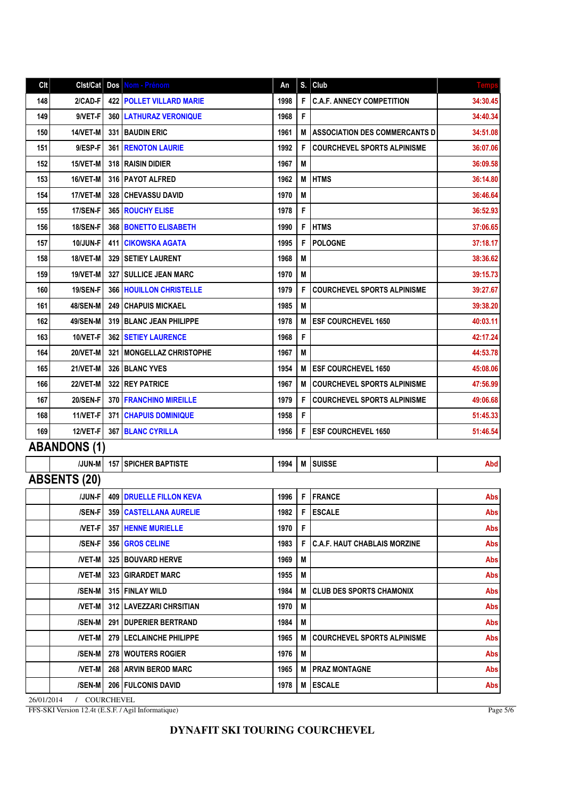#### **DYNAFIT SKI TOURING COURCHEVEL**

|  |  |  |  | FFS-SKI Version 12.4t (E.S.F. / Agil Informatique) |  |
|--|--|--|--|----------------------------------------------------|--|

| 161        | 48/SEN-MI           | <b>249 I CHAPUIS MICKAEL</b>     | 1985 | М   |                                       | 39:38.20 |
|------------|---------------------|----------------------------------|------|-----|---------------------------------------|----------|
| 162        | 49/SEN-M            | <b>319 IBLANC JEAN PHILIPPE</b>  | 1978 |     | M <b>JESF COURCHEVEL 1650</b>         | 40:03.11 |
| 163        | 10/VET-F            | <b>362   SETIEY LAURENCE</b>     | 1968 | F   |                                       | 42:17.24 |
| 164        | <b>20/VET-M</b>     | <b>321 IMONGELLAZ CHRISTOPHE</b> | 1967 | M   |                                       | 44:53.78 |
| 165        | <b>21/VET-M</b>     | 326 BLANC YVES                   | 1954 |     | <b>M IESF COURCHEVEL 1650</b>         | 45:08.06 |
| 166        | <b>22/VET-M</b>     | <b>322 IREY PATRICE</b>          | 1967 |     | <b>M ICOURCHEVEL SPORTS ALPINISME</b> | 47:56.99 |
| 167        | 20/SEN-F            | <b>370 FRANCHINO MIREILLE</b>    | 1979 | F   | <b>COURCHEVEL SPORTS ALPINISME</b>    | 49:06.68 |
| 168        | 11/VET-F            | <b>371   CHAPUIS DOMINIQUE</b>   | 1958 | F   |                                       | 51:45.33 |
| 169        | <b>12/VET-F</b>     | <b>367 BLANC CYRILLA</b>         | 1956 | F.  | <b>IESF COURCHEVEL 1650</b>           | 51:46.54 |
|            | <b>ABANDONS (1)</b> |                                  |      |     |                                       |          |
|            | /JUN-M              | <b>157 I SPICHER BAPTISTE</b>    | 1994 |     | <b>M</b> ISUISSE                      | Abd      |
|            | <b>ABSENTS (20)</b> |                                  |      |     |                                       |          |
|            | /JUN-F              | <b>409 IDRUELLE FILLON KEVA</b>  | 1996 | F   | <b>IFRANCE</b>                        | Abs      |
|            | /SEN-F              | <b>359 CASTELLANA AURELIE</b>    | 1982 | F   | <b>IESCALE</b>                        | Abs      |
|            | <b>NET-F</b>        | <b>357 HENNE MURIELLE</b>        | 1970 | F   |                                       | Abs      |
|            | /SEN-F              | 356 GROS CELINE                  | 1983 | F   | l C.A.F. HAUT CHABLAIS MORZINE        | Abs      |
|            | <b>NET-M</b>        | <b>325 BOUVARD HERVE</b>         | 1969 | M   |                                       | Abs      |
|            | <b>NET-M</b>        | <b>323 I GIRARDET MARC</b>       | 1955 | M   |                                       | Abs      |
|            | /SEN-M              | 315 FINLAY WILD                  | 1984 |     | <b>M CLUB DES SPORTS CHAMONIX</b>     | Abs      |
|            | $NET-M$             | <b>312   LAVEZZARI CHRSITIAN</b> | 1970 | М   |                                       | Abs      |
|            | /SEN-M              | 291 DUPERIER BERTRAND            | 1984 | М   |                                       | Abs      |
|            | <b>NET-M</b>        | 279   LECLAINCHE PHILIPPE        | 1965 | M I | COURCHEVEL SPORTS ALPINISME           | Abs      |
|            | /SEN-M              | <b>278 WOUTERS ROGIER</b>        | 1976 | M   |                                       | Abs      |
|            | $NET-M$             | <b>268 ARVIN BEROD MARC</b>      | 1965 |     | <b>M   PRAZ MONTAGNE</b>              | Abs      |
|            | /SEN-M              | 206 FULCONIS DAVID               | 1978 |     | <b>M ESCALE</b>                       | Abs      |
| 26/01/2014 | / COURCHEVEL        |                                  |      |     |                                       |          |

Clt Clst/Cat Dos Nom - Prénom An S. Club Temps 148 2/CAD-F 422 POLLET VILLARD MARIE 1998 F C.A.F. ANNECY COMPETITION 14:30.45 149 9/VET-F 360 LATHURAZ VERONIQUE 1968 F 34:40.34 150 14/VET-M 331 BAUDIN ERIC 1961 | M ASSOCIATION DES COMMERCANTS D 34:51.08 151 9/ESP-F 361 RENOTON LAURIE 1992 F COURCHEVEL SPORTS ALPINISME 36:07.06 152 | 15/VET-M | 318 | RAISIN DIDIER | 1967 | M | 1967 | M | 1967 | M | 36:09.58 153 16/VET-M 316 PAYOT ALFRED 1962 M HTMS 1962 1962 1979 1979 1984 1982 1984 1994 1995 1996 1997 199 154 17/VET-M 328 CHEVASSU DAVID 1970 M 36:46.64 155 17/SEN-F 365 ROUCHY ELISE 1978 F 36:52.93 156 18/SEN-F 368 BONETTO ELISABETH 1990 F HTMS 37:06.65 157 10/JUN-F 411 CIKOWSKA AGATA 1995 F POLOGNE 1995 F POLOGNE 158 18/VET-M 329 SETIEY LAURENT 1968 M 38:36.62 159 19/VET-M 327 SULLICE JEAN MARC 1970 M 39:15.73 160 19/SEN-F 366 HOUILLON CHRISTELLE 1979 F COURCHEVEL SPORTS ALPINISME 39:27.67